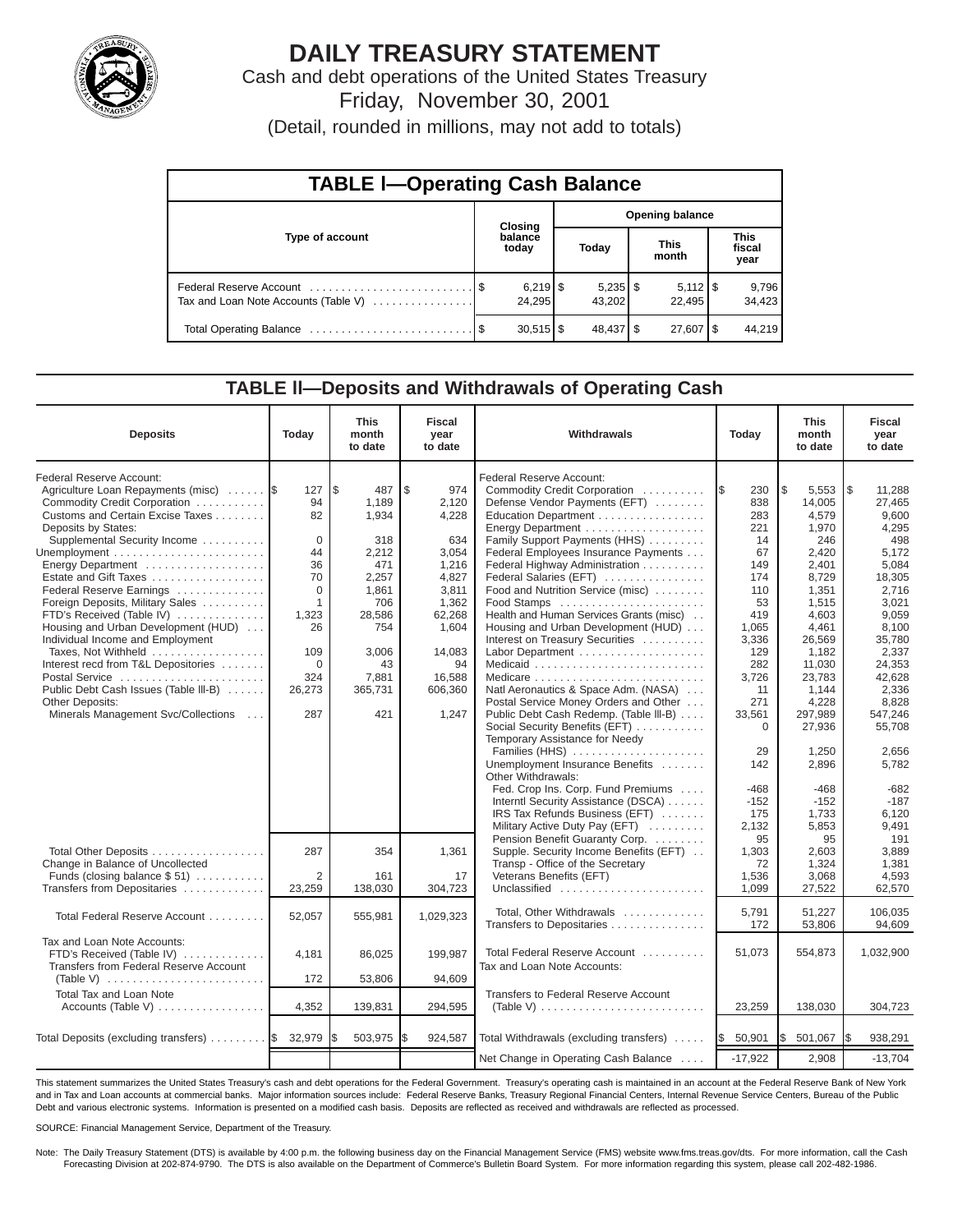

# **DAILY TREASURY STATEMENT**

Cash and debt operations of the United States Treasury Friday, November 30, 2001

(Detail, rounded in millions, may not add to totals)

| <b>TABLE I-Operating Cash Balance</b> |  |                         |  |                      |                        |                              |  |                               |  |  |
|---------------------------------------|--|-------------------------|--|----------------------|------------------------|------------------------------|--|-------------------------------|--|--|
|                                       |  | <b>Closing</b>          |  |                      | <b>Opening balance</b> |                              |  |                               |  |  |
| Type of account                       |  | balance<br>today        |  | Today                |                        | <b>This</b><br>month         |  | <b>This</b><br>fiscal<br>year |  |  |
| Tax and Loan Note Accounts (Table V)  |  | $6,219$ \ $$$<br>24,295 |  | $5,235$ \$<br>43.202 |                        | $5,112$ $\sqrt{5}$<br>22.495 |  | 9,796<br>34,423               |  |  |
|                                       |  | $30,515$ $\frac{1}{3}$  |  | 48,437   \$          |                        | $27,607$ $\frac{8}{3}$       |  | 44.219                        |  |  |

## **TABLE ll—Deposits and Withdrawals of Operating Cash**

| <b>Deposits</b>                                                                                                                                                                                                | Today                                          | <b>This</b><br>month<br>to date                               | <b>Fiscal</b><br>year<br>to date                              | Withdrawals<br>Today                                                                                                                                                                                                                                   |                                                           | <b>This</b><br>month<br>to date                                           | <b>Fiscal</b><br>year<br>to date                                             |
|----------------------------------------------------------------------------------------------------------------------------------------------------------------------------------------------------------------|------------------------------------------------|---------------------------------------------------------------|---------------------------------------------------------------|--------------------------------------------------------------------------------------------------------------------------------------------------------------------------------------------------------------------------------------------------------|-----------------------------------------------------------|---------------------------------------------------------------------------|------------------------------------------------------------------------------|
| Federal Reserve Account:<br>Agriculture Loan Repayments (misc)<br>Commodity Credit Corporation<br>Customs and Certain Excise Taxes<br>Deposits by States:<br>Supplemental Security Income<br>Energy Department | 127<br>94<br>82<br>$\Omega$<br>44<br>36<br>70  | l \$<br>487<br>1,189<br>1,934<br>318<br>2,212<br>471<br>2,257 | \$<br>974<br>2.120<br>4,228<br>634<br>3,054<br>1.216<br>4,827 | Federal Reserve Account:<br>Commodity Credit Corporation<br>Defense Vendor Payments (EFT)<br>Education Department<br>Family Support Payments (HHS)<br>Federal Employees Insurance Payments<br>Federal Highway Administration<br>Federal Salaries (EFT) | 230<br>I\$<br>838<br>283<br>221<br>14<br>67<br>149<br>174 | \$<br>5,553<br>14,005<br>4.579<br>1,970<br>246<br>2.420<br>2.401<br>8.729 | l\$<br>11.288<br>27.465<br>9,600<br>4,295<br>498<br>5.172<br>5.084<br>18,305 |
| Federal Reserve Earnings<br>Foreign Deposits, Military Sales<br>FTD's Received (Table IV)<br>Housing and Urban Development (HUD)<br>Individual Income and Employment<br>Taxes. Not Withheld                    | $\Omega$<br>$\mathbf{1}$<br>1.323<br>26<br>109 | 1.861<br>706<br>28.586<br>754<br>3,006                        | 3,811<br>1,362<br>62,268<br>1.604<br>14.083                   | Food and Nutrition Service (misc)<br>Health and Human Services Grants (misc)<br>Housing and Urban Development (HUD)<br>Interest on Treasury Securities                                                                                                 | 110<br>53<br>419<br>1.065<br>3,336<br>129                 | 1,351<br>1,515<br>4.603<br>4.461<br>26,569<br>1,182                       | 2.716<br>3,021<br>9.059<br>8.100<br>35.780<br>2.337                          |
| Interest recd from T&L Depositories<br>Postal Service<br>Public Debt Cash Issues (Table III-B)<br>Other Deposits:<br>Minerals Management Svc/Collections                                                       | $\Omega$<br>324<br>26,273<br>287               | 43<br>7.881<br>365.731<br>421                                 | 94<br>16.588<br>606.360<br>1,247                              | Natl Aeronautics & Space Adm. (NASA)<br>Postal Service Money Orders and Other<br>Public Debt Cash Redemp. (Table III-B)<br>Social Security Benefits (EFT)                                                                                              | 282<br>3,726<br>11<br>271<br>33,561<br>$\mathbf 0$        | 11,030<br>23.783<br>1.144<br>4,228<br>297,989<br>27,936                   | 24.353<br>42.628<br>2.336<br>8.828<br>547,246<br>55.708                      |
|                                                                                                                                                                                                                |                                                |                                                               |                                                               | Temporary Assistance for Needy<br>Families (HHS)<br>Unemployment Insurance Benefits<br>Other Withdrawals:<br>Fed. Crop Ins. Corp. Fund Premiums<br>Interntl Security Assistance (DSCA)<br>IRS Tax Refunds Business (EFT)                               | 29<br>142<br>$-468$<br>$-152$<br>175                      | 1,250<br>2,896<br>$-468$<br>$-152$<br>1,733                               | 2,656<br>5,782<br>$-682$<br>$-187$<br>6,120                                  |
| Total Other Deposits<br>Change in Balance of Uncollected<br>Funds (closing balance $$51)$<br>Transfers from Depositaries                                                                                       | 287<br>$\overline{2}$<br>23,259                | 354<br>161<br>138,030                                         | 1,361<br>17<br>304,723                                        | Military Active Duty Pay (EFT)<br>Pension Benefit Guaranty Corp.<br>Supple. Security Income Benefits (EFT)<br>Transp - Office of the Secretary<br>Veterans Benefits (EFT)<br>Unclassified                                                              | 2,132<br>95<br>1,303<br>72<br>1,536<br>1,099              | 5,853<br>95<br>2,603<br>1,324<br>3,068<br>27,522                          | 9,491<br>191<br>3,889<br>1,381<br>4,593<br>62,570                            |
| Total Federal Reserve Account                                                                                                                                                                                  | 52.057                                         | 555,981                                                       | 1,029,323                                                     | Total, Other Withdrawals<br>Transfers to Depositaries                                                                                                                                                                                                  | 5,791<br>172                                              | 51,227<br>53,806                                                          | 106,035<br>94,609                                                            |
| Tax and Loan Note Accounts:<br>FTD's Received (Table IV)<br>Transfers from Federal Reserve Account                                                                                                             | 4,181<br>172                                   | 86,025<br>53,806                                              | 199,987<br>94,609                                             | Total Federal Reserve Account<br>Tax and Loan Note Accounts:                                                                                                                                                                                           | 51,073                                                    | 554,873                                                                   | 1,032,900                                                                    |
| <b>Total Tax and Loan Note</b>                                                                                                                                                                                 | 4,352                                          | 139,831                                                       | 294.595                                                       | <b>Transfers to Federal Reserve Account</b>                                                                                                                                                                                                            | 23,259                                                    | 138,030                                                                   | 304,723                                                                      |
| Total Deposits (excluding transfers) $\ldots \ldots \ldots$                                                                                                                                                    | 32,979                                         | 503,975                                                       | 924,587                                                       | Total Withdrawals (excluding transfers)<br>Net Change in Operating Cash Balance                                                                                                                                                                        | 50,901<br>I\$<br>$-17,922$                                | 501,067<br>l\$<br>2,908                                                   | 938,291<br>$-13,704$                                                         |
|                                                                                                                                                                                                                |                                                |                                                               |                                                               |                                                                                                                                                                                                                                                        |                                                           |                                                                           |                                                                              |

This statement summarizes the United States Treasury's cash and debt operations for the Federal Government. Treasury's operating cash is maintained in an account at the Federal Reserve Bank of New York and in Tax and Loan accounts at commercial banks. Major information sources include: Federal Reserve Banks, Treasury Regional Financial Centers, Internal Revenue Service Centers, Bureau of the Public Debt and various electronic systems. Information is presented on a modified cash basis. Deposits are reflected as received and withdrawals are reflected as processed.

SOURCE: Financial Management Service, Department of the Treasury.

Note: The Daily Treasury Statement (DTS) is available by 4:00 p.m. the following business day on the Financial Management Service (FMS) website www.fms.treas.gov/dts. For more information, call the Cash Forecasting Division at 202-874-9790. The DTS is also available on the Department of Commerce's Bulletin Board System. For more information regarding this system, please call 202-482-1986.